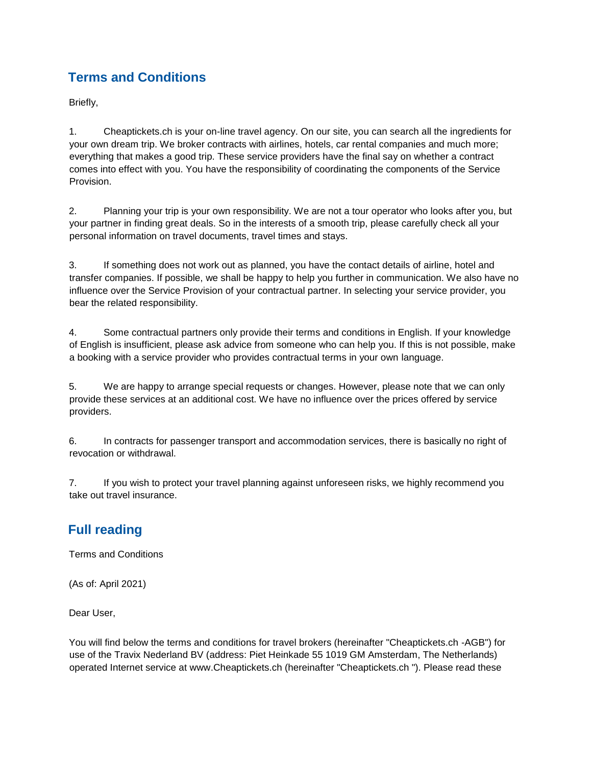# **Terms and Conditions**

Briefly,

1. Cheaptickets.ch is your on-line travel agency. On our site, you can search all the ingredients for your own dream trip. We broker contracts with airlines, hotels, car rental companies and much more; everything that makes a good trip. These service providers have the final say on whether a contract comes into effect with you. You have the responsibility of coordinating the components of the Service Provision.

2. Planning your trip is your own responsibility. We are not a tour operator who looks after you, but your partner in finding great deals. So in the interests of a smooth trip, please carefully check all your personal information on travel documents, travel times and stays.

3. If something does not work out as planned, you have the contact details of airline, hotel and transfer companies. If possible, we shall be happy to help you further in communication. We also have no influence over the Service Provision of your contractual partner. In selecting your service provider, you bear the related responsibility.

4. Some contractual partners only provide their terms and conditions in English. If your knowledge of English is insufficient, please ask advice from someone who can help you. If this is not possible, make a booking with a service provider who provides contractual terms in your own language.

5. We are happy to arrange special requests or changes. However, please note that we can only provide these services at an additional cost. We have no influence over the prices offered by service providers.

6. In contracts for passenger transport and accommodation services, there is basically no right of revocation or withdrawal.

7. If you wish to protect your travel planning against unforeseen risks, we highly recommend you take out travel insurance.

# **Full reading**

Terms and Conditions

(As of: April 2021)

Dear User,

You will find below the terms and conditions for travel brokers (hereinafter "Cheaptickets.ch -AGB") for use of the Travix Nederland BV (address: Piet Heinkade 55 1019 GM Amsterdam, The Netherlands) operated Internet service at www.Cheaptickets.ch (hereinafter "Cheaptickets.ch "). Please read these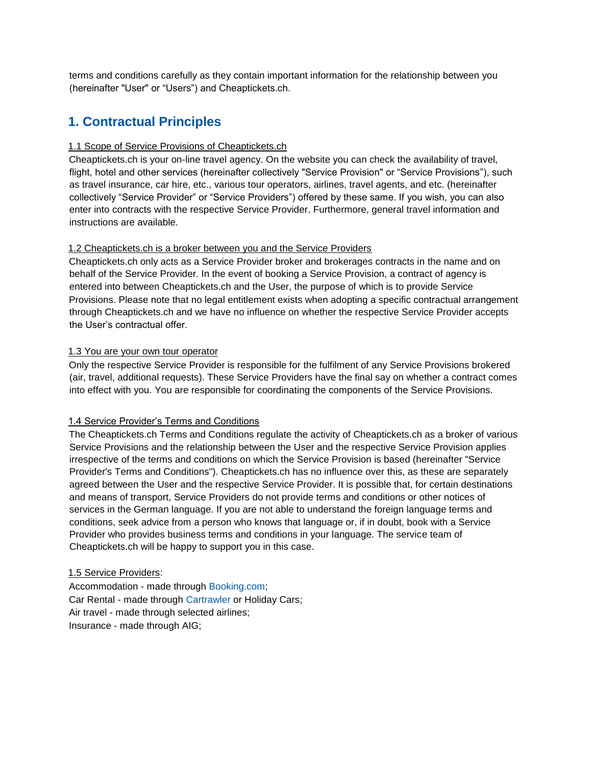terms and conditions carefully as they contain important information for the relationship between you (hereinafter "User" or "Users") and Cheaptickets.ch.

### **1. Contractual Principles**

#### 1.1 Scope of Service Provisions of Cheaptickets.ch

Cheaptickets.ch is your on-line travel agency. On the website you can check the availability of travel, flight, hotel and other services (hereinafter collectively "Service Provision" or "Service Provisions"), such as travel insurance, car hire, etc., various tour operators, airlines, travel agents, and etc. (hereinafter collectively "Service Provider" or "Service Providers") offered by these same. If you wish, you can also enter into contracts with the respective Service Provider. Furthermore, general travel information and instructions are available.

#### 1.2 Cheaptickets.ch is a broker between you and the Service Providers

Cheaptickets.ch only acts as a Service Provider broker and brokerages contracts in the name and on behalf of the Service Provider. In the event of booking a Service Provision, a contract of agency is entered into between Cheaptickets.ch and the User, the purpose of which is to provide Service Provisions. Please note that no legal entitlement exists when adopting a specific contractual arrangement through Cheaptickets.ch and we have no influence on whether the respective Service Provider accepts the User's contractual offer.

#### 1.3 You are your own tour operator

Only the respective Service Provider is responsible for the fulfilment of any Service Provisions brokered (air, travel, additional requests). These Service Providers have the final say on whether a contract comes into effect with you. You are responsible for coordinating the components of the Service Provisions.

#### 1.4 Service Provider's Terms and Conditions

The Cheaptickets.ch Terms and Conditions regulate the activity of Cheaptickets.ch as a broker of various Service Provisions and the relationship between the User and the respective Service Provision applies irrespective of the terms and conditions on which the Service Provision is based (hereinafter "Service Provider's Terms and Conditions"). Cheaptickets.ch has no influence over this, as these are separately agreed between the User and the respective Service Provider. It is possible that, for certain destinations and means of transport, Service Providers do not provide terms and conditions or other notices of services in the German language. If you are not able to understand the foreign language terms and conditions, seek advice from a person who knows that language or, if in doubt, book with a Service Provider who provides business terms and conditions in your language. The service team of Cheaptickets.ch will be happy to support you in this case.

#### 1.5 Service Providers:

Accommodation - made through [Booking.com;](http://www.booking.com/content/terms.en-gb.html?sid=acb9f8eb8999652475439ff67c5d3f12;dcid=4)  Car Rental - made throug[h](http://www.cartrawler.com/booking-conditions/?lang=EN) [Cartrawler](http://www.cartrawler.com/booking-conditions/?lang=EN) [or](http://www.cartrawler.com/booking-conditions/?lang=EN) Holiday Cars; Air travel - made through selected airlines; Insurance - made through AIG;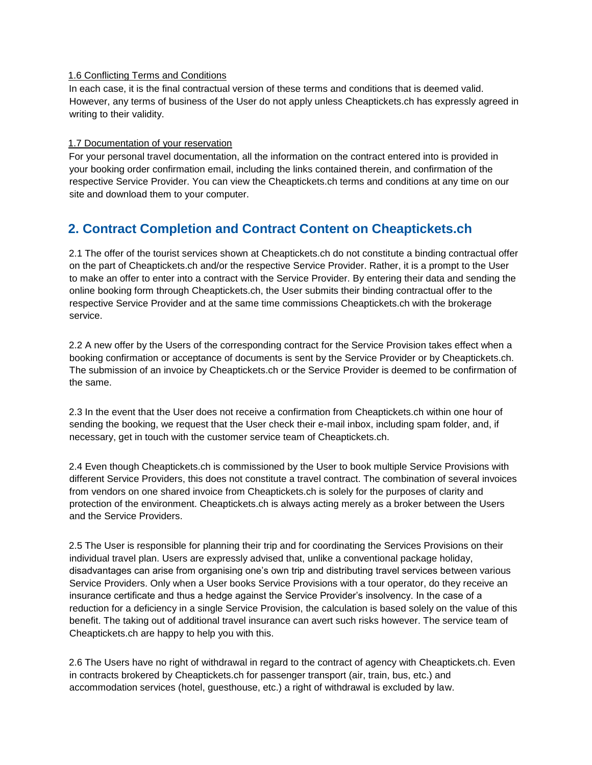#### 1.6 Conflicting Terms and Conditions

In each case, it is the final contractual version of these terms and conditions that is deemed valid. However, any terms of business of the User do not apply unless Cheaptickets.ch has expressly agreed in writing to their validity.

#### 1.7 Documentation of your reservation

For your personal travel documentation, all the information on the contract entered into is provided in your booking order confirmation email, including the links contained therein, and confirmation of the respective Service Provider. You can view the Cheaptickets.ch terms and conditions at any time on our site and download them to your computer.

### **2. Contract Completion and Contract Content on Cheaptickets.ch**

2.1 The offer of the tourist services shown at Cheaptickets.ch do not constitute a binding contractual offer on the part of Cheaptickets.ch and/or the respective Service Provider. Rather, it is a prompt to the User to make an offer to enter into a contract with the Service Provider. By entering their data and sending the online booking form through Cheaptickets.ch, the User submits their binding contractual offer to the respective Service Provider and at the same time commissions Cheaptickets.ch with the brokerage service.

2.2 A new offer by the Users of the corresponding contract for the Service Provision takes effect when a booking confirmation or acceptance of documents is sent by the Service Provider or by Cheaptickets.ch. The submission of an invoice by Cheaptickets.ch or the Service Provider is deemed to be confirmation of the same.

2.3 In the event that the User does not receive a confirmation from Cheaptickets.ch within one hour of sending the booking, we request that the User check their e-mail inbox, including spam folder, and, if necessary, get in touch with the customer service team of Cheaptickets.ch.

2.4 Even though Cheaptickets.ch is commissioned by the User to book multiple Service Provisions with different Service Providers, this does not constitute a travel contract. The combination of several invoices from vendors on one shared invoice from Cheaptickets.ch is solely for the purposes of clarity and protection of the environment. Cheaptickets.ch is always acting merely as a broker between the Users and the Service Providers.

2.5 The User is responsible for planning their trip and for coordinating the Services Provisions on their individual travel plan. Users are expressly advised that, unlike a conventional package holiday, disadvantages can arise from organising one's own trip and distributing travel services between various Service Providers. Only when a User books Service Provisions with a tour operator, do they receive an insurance certificate and thus a hedge against the Service Provider's insolvency. In the case of a reduction for a deficiency in a single Service Provision, the calculation is based solely on the value of this benefit. The taking out of additional travel insurance can avert such risks however. The service team of Cheaptickets.ch are happy to help you with this.

2.6 The Users have no right of withdrawal in regard to the contract of agency with Cheaptickets.ch. Even in contracts brokered by Cheaptickets.ch for passenger transport (air, train, bus, etc.) and accommodation services (hotel, guesthouse, etc.) a right of withdrawal is excluded by law.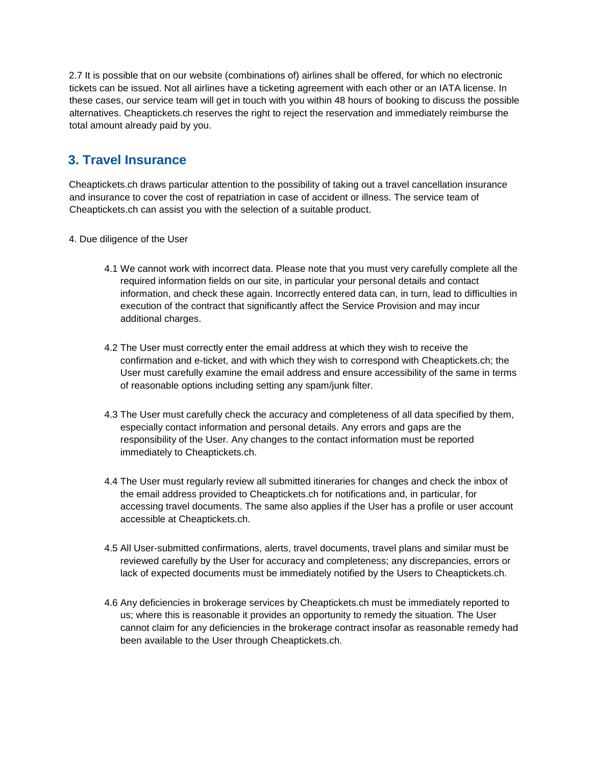2.7 It is possible that on our website (combinations of) airlines shall be offered, for which no electronic tickets can be issued. Not all airlines have a ticketing agreement with each other or an IATA license. In these cases, our service team will get in touch with you within 48 hours of booking to discuss the possible alternatives. Cheaptickets.ch reserves the right to reject the reservation and immediately reimburse the total amount already paid by you.

## **3. Travel Insurance**

Cheaptickets.ch draws particular attention to the possibility of taking out a travel cancellation insurance and insurance to cover the cost of repatriation in case of accident or illness. The service team of Cheaptickets.ch can assist you with the selection of a suitable product.

- 4. Due diligence of the User
	- 4.1 We cannot work with incorrect data. Please note that you must very carefully complete all the required information fields on our site, in particular your personal details and contact information, and check these again. Incorrectly entered data can, in turn, lead to difficulties in execution of the contract that significantly affect the Service Provision and may incur additional charges.
	- 4.2 The User must correctly enter the email address at which they wish to receive the confirmation and e-ticket, and with which they wish to correspond with Cheaptickets.ch; the User must carefully examine the email address and ensure accessibility of the same in terms of reasonable options including setting any spam/junk filter.
	- 4.3 The User must carefully check the accuracy and completeness of all data specified by them, especially contact information and personal details. Any errors and gaps are the responsibility of the User. Any changes to the contact information must be reported immediately to Cheaptickets.ch.
	- 4.4 The User must regularly review all submitted itineraries for changes and check the inbox of the email address provided to Cheaptickets.ch for notifications and, in particular, for accessing travel documents. The same also applies if the User has a profile or user account accessible at Cheaptickets.ch.
	- 4.5 All User-submitted confirmations, alerts, travel documents, travel plans and similar must be reviewed carefully by the User for accuracy and completeness; any discrepancies, errors or lack of expected documents must be immediately notified by the Users to Cheaptickets.ch.
	- 4.6 Any deficiencies in brokerage services by Cheaptickets.ch must be immediately reported to us; where this is reasonable it provides an opportunity to remedy the situation. The User cannot claim for any deficiencies in the brokerage contract insofar as reasonable remedy had been available to the User through Cheaptickets.ch.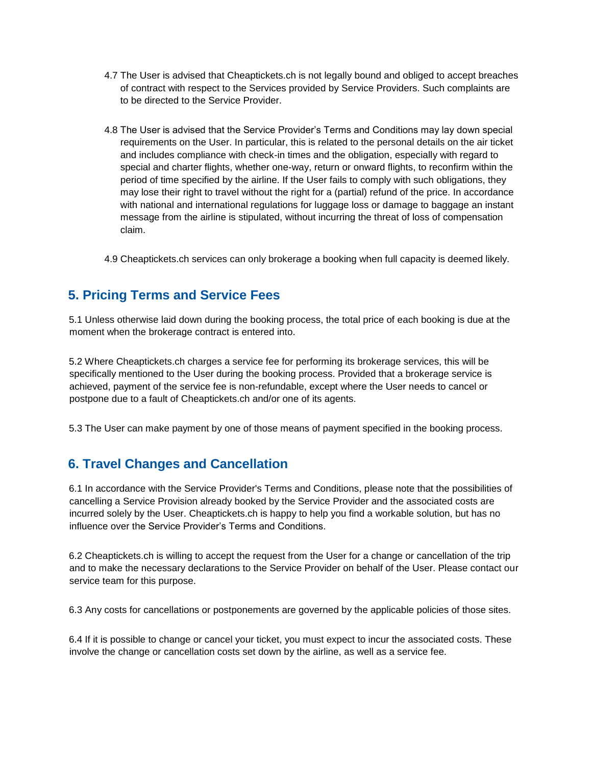- 4.7 The User is advised that Cheaptickets.ch is not legally bound and obliged to accept breaches of contract with respect to the Services provided by Service Providers. Such complaints are to be directed to the Service Provider.
- 4.8 The User is advised that the Service Provider's Terms and Conditions may lay down special requirements on the User. In particular, this is related to the personal details on the air ticket and includes compliance with check-in times and the obligation, especially with regard to special and charter flights, whether one-way, return or onward flights, to reconfirm within the period of time specified by the airline. If the User fails to comply with such obligations, they may lose their right to travel without the right for a (partial) refund of the price. In accordance with national and international regulations for luggage loss or damage to baggage an instant message from the airline is stipulated, without incurring the threat of loss of compensation claim.

4.9 Cheaptickets.ch services can only brokerage a booking when full capacity is deemed likely.

### **5. Pricing Terms and Service Fees**

5.1 Unless otherwise laid down during the booking process, the total price of each booking is due at the moment when the brokerage contract is entered into.

5.2 Where Cheaptickets.ch charges a service fee for performing its brokerage services, this will be specifically mentioned to the User during the booking process. Provided that a brokerage service is achieved, payment of the service fee is non-refundable, except where the User needs to cancel or postpone due to a fault of Cheaptickets.ch and/or one of its agents.

5.3 The User can make payment by one of those means of payment specified in the booking process.

### **6. Travel Changes and Cancellation**

6.1 In accordance with the Service Provider's Terms and Conditions, please note that the possibilities of cancelling a Service Provision already booked by the Service Provider and the associated costs are incurred solely by the User. Cheaptickets.ch is happy to help you find a workable solution, but has no influence over the Service Provider's Terms and Conditions.

6.2 Cheaptickets.ch is willing to accept the request from the User for a change or cancellation of the trip and to make the necessary declarations to the Service Provider on behalf of the User. Please contact our service team for this purpose.

6.3 Any costs for cancellations or postponements are governed by the applicable policies of those sites.

6.4 If it is possible to change or cancel your ticket, you must expect to incur the associated costs. These involve the change or cancellation costs set down by the airline, as well as a service fee.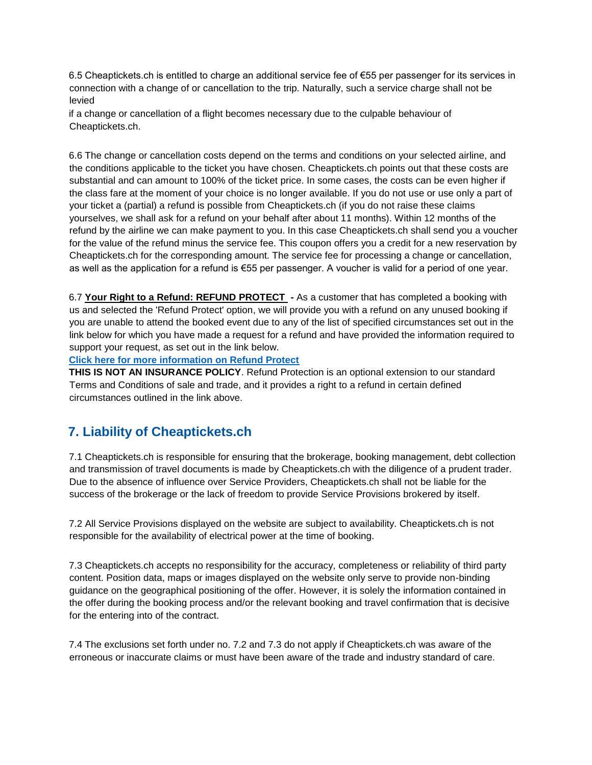6.5 Cheaptickets.ch is entitled to charge an additional service fee of €55 per passenger for its services in connection with a change of or cancellation to the trip. Naturally, such a service charge shall not be levied

if a change or cancellation of a flight becomes necessary due to the culpable behaviour of Cheaptickets.ch.

6.6 The change or cancellation costs depend on the terms and conditions on your selected airline, and the conditions applicable to the ticket you have chosen. Cheaptickets.ch points out that these costs are substantial and can amount to 100% of the ticket price. In some cases, the costs can be even higher if the class fare at the moment of your choice is no longer available. If you do not use or use only a part of your ticket a (partial) a refund is possible from Cheaptickets.ch (if you do not raise these claims yourselves, we shall ask for a refund on your behalf after about 11 months). Within 12 months of the refund by the airline we can make payment to you. In this case Cheaptickets.ch shall send you a voucher for the value of the refund minus the service fee. This coupon offers you a credit for a new reservation by Cheaptickets.ch for the corresponding amount. The service fee for processing a change or cancellation, as well as the application for a refund is €55 per passenger. A voucher is valid for a period of one year.

6.7 **Your Right to a Refund: REFUND PROTECT -** As a customer that has completed a booking with us and selected the 'Refund Protect' option, we will provide you with a refund on any unused booking if you are unable to attend the booked event due to any of the list of specified circumstances set out in the link below for which you have made a request for a refund and have provided the information required to support your request, as set out in the link below.

**[Click here for more information on Refund Protect](https://www.refundprotect.me/member-wording)**

**THIS IS NOT AN INSURANCE POLICY**. Refund Protection is an optional extension to our standard Terms and Conditions of sale and trade, and it provides a right to a refund in certain defined circumstances outlined in the link above.

## **7. Liability of Cheaptickets.ch**

7.1 Cheaptickets.ch is responsible for ensuring that the brokerage, booking management, debt collection and transmission of travel documents is made by Cheaptickets.ch with the diligence of a prudent trader. Due to the absence of influence over Service Providers, Cheaptickets.ch shall not be liable for the success of the brokerage or the lack of freedom to provide Service Provisions brokered by itself.

7.2 All Service Provisions displayed on the website are subject to availability. Cheaptickets.ch is not responsible for the availability of electrical power at the time of booking.

7.3 Cheaptickets.ch accepts no responsibility for the accuracy, completeness or reliability of third party content. Position data, maps or images displayed on the website only serve to provide non-binding guidance on the geographical positioning of the offer. However, it is solely the information contained in the offer during the booking process and/or the relevant booking and travel confirmation that is decisive for the entering into of the contract.

7.4 The exclusions set forth under no. 7.2 and 7.3 do not apply if Cheaptickets.ch was aware of the erroneous or inaccurate claims or must have been aware of the trade and industry standard of care.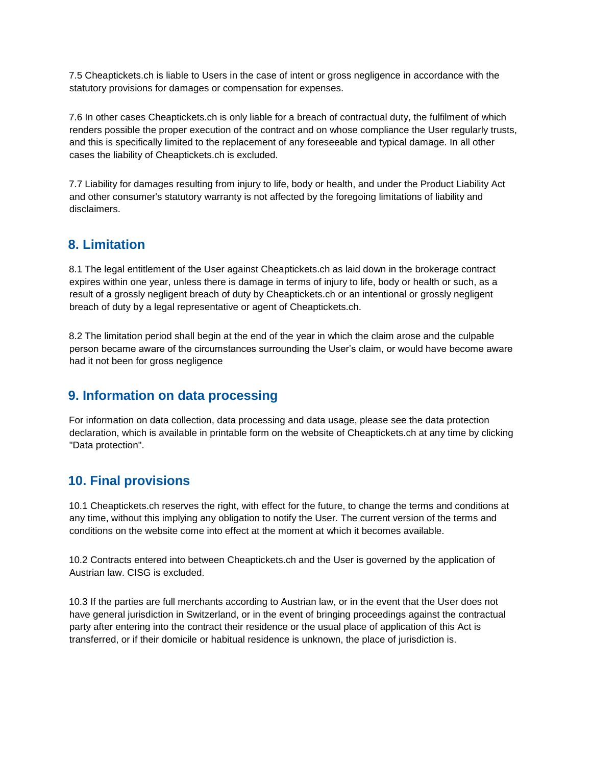7.5 Cheaptickets.ch is liable to Users in the case of intent or gross negligence in accordance with the statutory provisions for damages or compensation for expenses.

7.6 In other cases Cheaptickets.ch is only liable for a breach of contractual duty, the fulfilment of which renders possible the proper execution of the contract and on whose compliance the User regularly trusts, and this is specifically limited to the replacement of any foreseeable and typical damage. In all other cases the liability of Cheaptickets.ch is excluded.

7.7 Liability for damages resulting from injury to life, body or health, and under the Product Liability Act and other consumer's statutory warranty is not affected by the foregoing limitations of liability and disclaimers.

### **8. Limitation**

8.1 The legal entitlement of the User against Cheaptickets.ch as laid down in the brokerage contract expires within one year, unless there is damage in terms of injury to life, body or health or such, as a result of a grossly negligent breach of duty by Cheaptickets.ch or an intentional or grossly negligent breach of duty by a legal representative or agent of Cheaptickets.ch.

8.2 The limitation period shall begin at the end of the year in which the claim arose and the culpable person became aware of the circumstances surrounding the User's claim, or would have become aware had it not been for gross negligence

### **9. Information on data processing**

For information on data collection, data processing and data usage, please see the data protection declaration, which is available in printable form on the website of Cheaptickets.ch at any time by clicking "Data protection".

### **10. Final provisions**

10.1 Cheaptickets.ch reserves the right, with effect for the future, to change the terms and conditions at any time, without this implying any obligation to notify the User. The current version of the terms and conditions on the website come into effect at the moment at which it becomes available.

10.2 Contracts entered into between Cheaptickets.ch and the User is governed by the application of Austrian law. CISG is excluded.

10.3 If the parties are full merchants according to Austrian law, or in the event that the User does not have general jurisdiction in Switzerland, or in the event of bringing proceedings against the contractual party after entering into the contract their residence or the usual place of application of this Act is transferred, or if their domicile or habitual residence is unknown, the place of jurisdiction is.